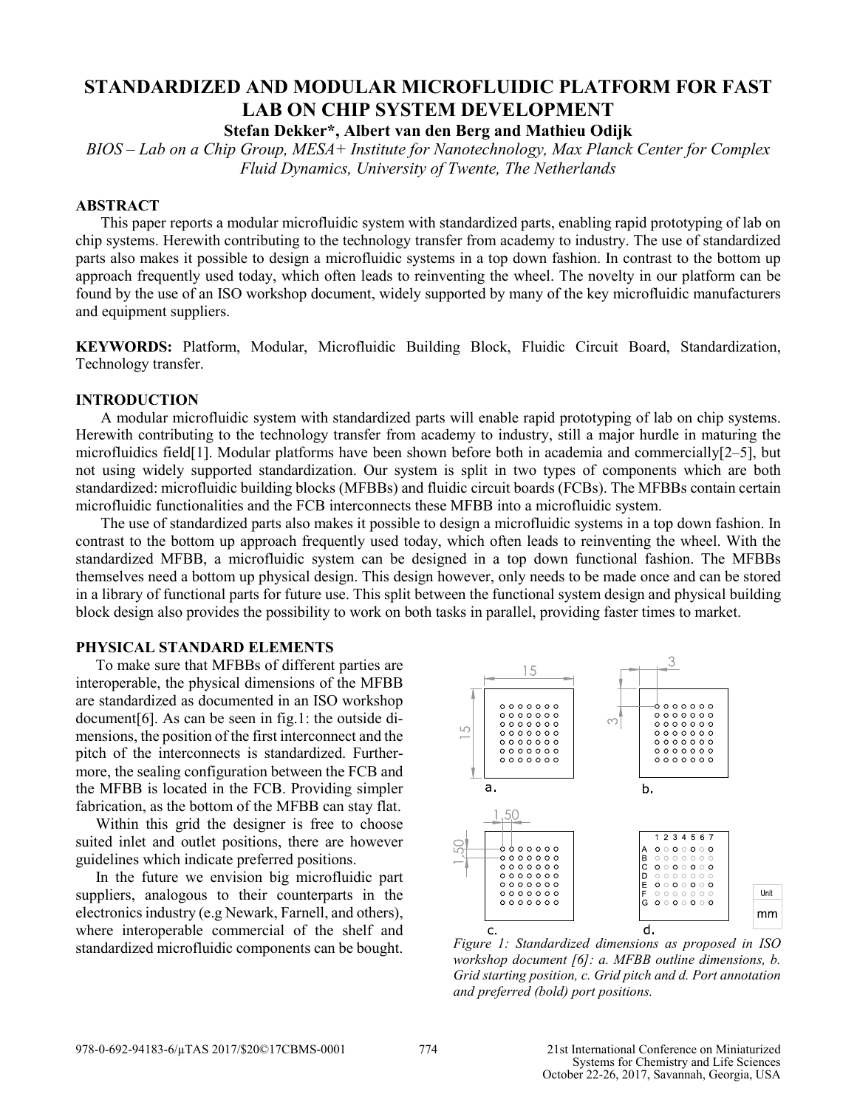# **STANDARDIZED AND MODULAR MICROFLUIDIC PLATFORM FOR FAST LAB ON CHIP SYSTEM DEVELOPMENT**

**Stefan Dekker\*, Albert van den Berg and Mathieu Odijk**

*BIOS – Lab on a Chip Group, MESA+ Institute for Nanotechnology, Max Planck Center for Complex Fluid Dynamics, University of Twente, The Netherlands*

## **ABSTRACT**

This paper reports a modular microfluidic system with standardized parts, enabling rapid prototyping of lab on chip systems. Herewith contributing to the technology transfer from academy to industry. The use of standardized parts also makes it possible to design a microfluidic systems in a top down fashion. In contrast to the bottom up approach frequently used today, which often leads to reinventing the wheel. The novelty in our platform can be found by the use of an ISO workshop document, widely supported by many of the key microfluidic manufacturers and equipment suppliers.

**KEYWORDS:** Platform, Modular, Microfluidic Building Block, Fluidic Circuit Board, Standardization, Technology transfer.

# **INTRODUCTION**

A modular microfluidic system with standardized parts will enable rapid prototyping of lab on chip systems. Herewith contributing to the technology transfer from academy to industry, still a major hurdle in maturing the microfluidics field[1]. Modular platforms have been shown before both in academia and commercially[2–5], but not using widely supported standardization. Our system is split in two types of components which are both standardized: microfluidic building blocks (MFBBs) and fluidic circuit boards (FCBs). The MFBBs contain certain microfluidic functionalities and the FCB interconnects these MFBB into a microfluidic system.

The use of standardized parts also makes it possible to design a microfluidic systems in a top down fashion. In contrast to the bottom up approach frequently used today, which often leads to reinventing the wheel. With the standardized MFBB, a microfluidic system can be designed in a top down functional fashion. The MFBBs themselves need a bottom up physical design. This design however, only needs to be made once and can be stored in a library of functional parts for future use. This split between the functional system design and physical building block design also provides the possibility to work on both tasks in parallel, providing faster times to market.

# **PHYSICAL STANDARD ELEMENTS**

To make sure that MFBBs of different parties are interoperable, the physical dimensions of the MFBB are standardized as documented in an ISO workshop document[6]. As can be seen in fig.1: the outside dimensions, the position of the first interconnect and the pitch of the interconnects is standardized. Furthermore, the sealing configuration between the FCB and the MFBB is located in the FCB. Providing simpler fabrication, as the bottom of the MFBB can stay flat.

Within this grid the designer is free to choose suited inlet and outlet positions, there are however guidelines which indicate preferred positions.

In the future we envision big microfluidic part suppliers, analogous to their counterparts in the electronics industry (e.g Newark, Farnell, and others), where interoperable commercial of the shelf and standardized microfluidic components can be bought. *Figure 1: Standardized dimensions as proposed in ISO* 



*workshop document [6]: a. MFBB outline dimensions, b. Grid starting position, c. Grid pitch and d. Port annotation and preferred (bold) port positions.*